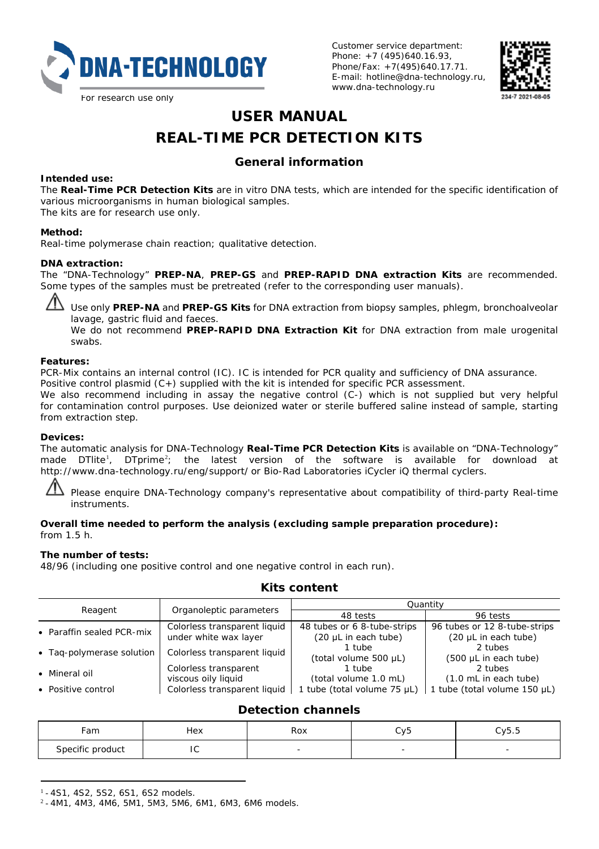

Customer service department: Phone: +7 (495)640.16.93. Phone/Fax: +7(495)640.17.71. E-mail: hotline@dna-technology.ru, www.dna-technology.ru



# **USER MANUAL REAL-TIME PCR DETECTION KITS**

# **General information**

#### **Intended use:**

The **Real-Time PCR Detection Kits** are *in vitro* DNA tests, which are intended for the specific identification of various microorganisms in human biological samples.

The kits are for research use only.

#### **Method:**

Real-time polymerase chain reaction; qualitative detection.

#### **DNA extraction:**

The "DNA-Technology" **PREP-NA**, **PREP-GS** and **PREP-RAPID DNA extraction Kits** are recommended. Some types of the samples must be pretreated (refer to the corresponding user manuals).

Use only **PREP-NA** and **PREP-GS Kits** for DNA extraction from biopsy samples, phlegm, bronchoalveolar lavage, gastric fluid and faeces.

We do not recommend **PREP-RAPID DNA Extraction Kit** for DNA extraction from male urogenital swabs.

#### **Features:**

PCR-Mix contains an internal control (IC). IC is intended for PCR quality and sufficiency of DNA assurance.

Positive control plasmid (C+) supplied with the kit is intended for specific PCR assessment.

We also recommend including in assay the negative control (C-) which is not supplied but very helpful for contamination control purposes. Use deionized water or sterile buffered saline instead of sample, starting from extraction step.

### **Devices:**

The automatic analysis for DNA-Technology **Real-Time PCR Detection Kits** is available on "DNA-Technology" made DTlite<sup>[1](#page-0-0)</sup>, DTprime<sup>[2](#page-0-1)</sup>; the latest version of the software is available for download at <http://www.dna-technology.ru/eng/support/> or Bio-Rad Laboratories iCycler iQ thermal cyclers.

Please enquire DNA-Technology company's representative about compatibility of third-party Real-time instruments.

#### **Overall time needed to perform the analysis (excluding sample preparation procedure):** from 1.5 h.

#### **The number of tests:**

48/96 (including one positive control and one negative control in each run).

|                           |                              | Quantity                    |                              |  |  |
|---------------------------|------------------------------|-----------------------------|------------------------------|--|--|
| Reagent                   | Organoleptic parameters      | 48 tests                    | 96 tests                     |  |  |
| • Paraffin sealed PCR-mix | Colorless transparent liquid | 48 tubes or 6 8-tube-strips | 96 tubes or 12 8-tube-strips |  |  |
|                           | under white wax layer        | (20 µL in each tube)        | (20 µL in each tube)         |  |  |
| • Taq-polymerase solution | Colorless transparent liquid | 1 tube                      | 2 tubes                      |  |  |
|                           |                              | (total volume 500 µL)       | (500 µL in each tube)        |  |  |
| • Mineral oil             | Colorless transparent        | 1 tube                      | 2 tubes                      |  |  |
|                           | viscous oily liquid          | (total volume 1.0 mL)       | (1.0 mL in each tube)        |  |  |
| • Positive control        | Colorless transparent liquid | 1 tube (total volume 75 µL) | 1 tube (total volume 150 µL) |  |  |

## **Kits content**

# **Detection channels**

| ∙am              | Hex<br>. | Dov<br><b>RUX</b><br>. | CV5 | $-$<br>Cy5.5 |
|------------------|----------|------------------------|-----|--------------|
| Specific product | r.<br>יי |                        |     |              |

<span id="page-0-0"></span>1 - 4S1, 4S2, 5S2, 6S1, 6S2 models.

<span id="page-0-1"></span><sup>2</sup> - 4M1, 4M3, 4M6, 5M1, 5M3, 5M6, 6M1, 6M3, 6M6 models.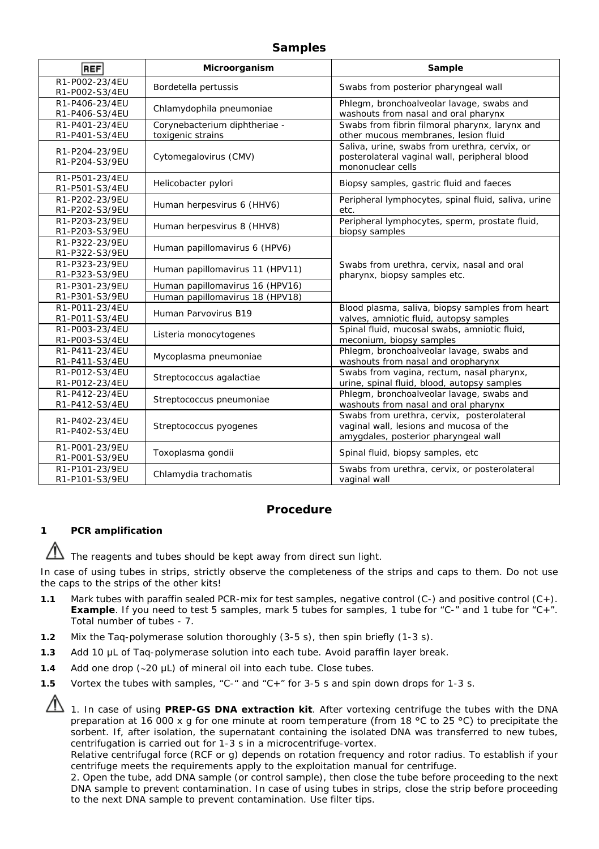## **Samples**

| <b>REF</b>                                         | Microorganism                                           | Sample                                                                                                                        |  |
|----------------------------------------------------|---------------------------------------------------------|-------------------------------------------------------------------------------------------------------------------------------|--|
| R1-P002-23/4EU<br>R1-P002-S3/4EU                   | Bordetella pertussis                                    | Swabs from posterior pharyngeal wall                                                                                          |  |
| R1-P406-23/4EU<br>R1-P406-S3/4EU                   | Chlamydophila pneumoniae                                | Phlegm, bronchoalveolar lavage, swabs and<br>washouts from nasal and oral pharynx                                             |  |
| R1-P401-23/4EU<br>R1-P401-S3/4EU                   | Corynebacterium diphtheriae -<br>toxigenic strains      | Swabs from fibrin filmoral pharynx, larynx and<br>other mucous membranes, lesion fluid                                        |  |
| R1-P204-23/9EU<br>R1-P204-S3/9FU                   | Cytomegalovirus (CMV)                                   | Saliva, urine, swabs from urethra, cervix, or<br>posterolateral vaginal wall, peripheral blood<br>mononuclear cells           |  |
| R1-P501-23/4EU<br>R1-P501-S3/4EU                   | Helicobacter pylori                                     | Biopsy samples, gastric fluid and faeces                                                                                      |  |
| R1-P202-23/9FU<br>R1-P202-S3/9EU                   | Human herpesvirus 6 (HHV6)                              | Peripheral lymphocytes, spinal fluid, saliva, urine<br>etc.                                                                   |  |
| R1-P203-23/9EU<br>R1-P203-S3/9EU                   | Human herpesvirus 8 (HHV8)                              | Peripheral lymphocytes, sperm, prostate fluid,<br>biopsy samples                                                              |  |
| R1-P322-23/9FU<br>R1-P322-S3/9EU                   | Human papillomavirus 6 (HPV6)                           |                                                                                                                               |  |
| R1-P323-23/9EU<br>R1-P323-S3/9EU                   | Human papillomavirus 11 (HPV11)                         | Swabs from urethra, cervix, nasal and oral<br>pharynx, biopsy samples etc.                                                    |  |
| R1-P301-23/9FU                                     | Human papillomavirus 16 (HPV16)                         |                                                                                                                               |  |
| R1-P301-S3/9EU<br>R1-P011-23/4EU<br>R1-P011-S3/4EU | Human papillomavirus 18 (HPV18)<br>Human Parvovirus B19 | Blood plasma, saliva, biopsy samples from heart<br>valves, amniotic fluid, autopsy samples                                    |  |
| R1-P003-23/4FU<br>R1-P003-S3/4EU                   | Listeria monocytogenes                                  | Spinal fluid, mucosal swabs, amniotic fluid,<br>meconium, biopsy samples                                                      |  |
| R1-P411-23/4EU<br>R1-P411-S3/4EU                   | Mycoplasma pneumoniae                                   | Phlegm, bronchoalveolar lavage, swabs and<br>washouts from nasal and oropharynx                                               |  |
| R1-P012-S3/4EU<br>R1-P012-23/4EU                   | Streptococcus agalactiae                                | Swabs from vagina, rectum, nasal pharynx,<br>urine, spinal fluid, blood, autopsy samples                                      |  |
| R1-P412-23/4EU<br>R1-P412-S3/4EU                   | Streptococcus pneumoniae                                | Phlegm, bronchoalveolar lavage, swabs and<br>washouts from nasal and oral pharynx                                             |  |
| R1-P402-23/4FU<br>R1-P402-S3/4EU                   | Streptococcus pyogenes                                  | Swabs from urethra, cervix, posterolateral<br>vaginal wall, lesions and mucosa of the<br>amygdales, posterior pharyngeal wall |  |
| R1-P001-23/9EU<br>R1-P001-S3/9EU                   | Toxoplasma gondii                                       | Spinal fluid, biopsy samples, etc.                                                                                            |  |
| R1-P101-23/9FU<br>R1-P101-S3/9EU                   | Chlamydia trachomatis                                   | Swabs from urethra, cervix, or posterolateral<br>vaginal wall                                                                 |  |

## **Procedure**

## **1 PCR amplification**

 $\Delta$  The reagents and tubes should be kept away from direct sun light.

In case of using tubes in strips, strictly observe the completeness of the strips and caps to them. Do not use the caps to the strips of the other kits!

- **1.1** Mark tubes with paraffin sealed PCR-mix for test samples, negative control (C-) and positive control (C+). **Example**. If you need to test 5 samples, mark 5 tubes for samples, 1 tube for "C-" and 1 tube for "C+". Total number of tubes - 7.
- **1.2** Mix the Taq-polymerase solution thoroughly (3-5 s), then spin briefly (1-3 s).
- **1.3** Add 10 µL of Taq-polymerase solution into each tube. Avoid paraffin layer break.
- **1.4** Add one drop (∼20 μL) of mineral oil into each tube. Close tubes.
- **1.5** Vortex the tubes with samples, "C-" and "C+" for 3-5 s and spin down drops for 1-3 s.
	- 1. In case of using **PREP-GS DNA extraction kit**. After vortexing centrifuge the tubes with the DNA preparation at 16 000 х g for one minute at room temperature (from 18 °С to 25 °С) to precipitate the sorbent. If, after isolation, the supernatant containing the isolated DNA was transferred to new tubes, centrifugation is carried out for 1-3 s in a microcentrifuge-vortex.

Relative centrifugal force (RCF or g) depends on rotation frequency and rotor radius. To establish if your centrifuge meets the requirements apply to the exploitation manual for centrifuge.

2. Open the tube, add DNA sample (or control sample), then close the tube before proceeding to the next DNA sample to prevent contamination. In case of using tubes in strips, close the strip before proceeding to the next DNA sample to prevent contamination. Use filter tips.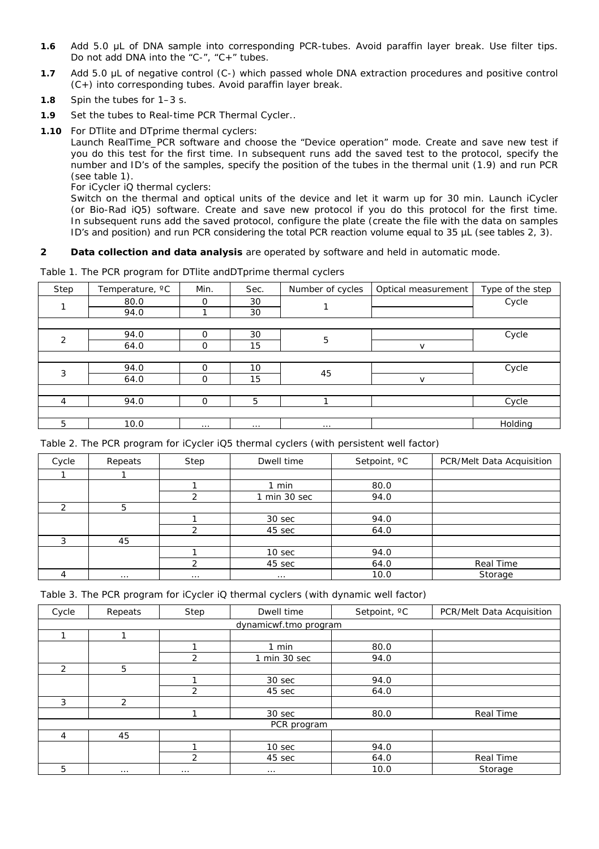- **1.6** Add 5.0 μL of DNA sample into corresponding PCR-tubes. Avoid paraffin layer break. Use filter tips. Do not add DNA into the "C-", "C+" tubes.
- **1.7** Add 5.0 μL of negative control (C-) which passed whole DNA extraction procedures and positive control (C+) into corresponding tubes. Avoid paraffin layer break.
- **1.8** Spin the tubes for 1–3 s.
- **1.9** Set the tubes to Real-time PCR Thermal Cycler..
- **1.10** For DTlite and DTprime thermal cyclers:

Launch RealTime PCR software and choose the "Device operation" mode. Create and save new test if you do this test for the first time. In subsequent runs add the saved test to the protocol, specify the number and ID's of the samples, specify the position of the tubes in the thermal unit (1.9) and run PCR (see table 1).

For iCycler iQ thermal cyclers:

Switch on the thermal and optical units of the device and let it warm up for 30 min. Launch iCycler (or Bio-Rad iQ5) software. Create and save new protocol if you do this protocol for the first time. In subsequent runs add the saved protocol, configure the plate (create the file with the data on samples ID's and position) and run PCR considering the total PCR reaction volume equal to 35 µL (see tables 2, 3).

#### **2 Data collection and data analysis** are operated by software and held in automatic mode.

|                |                 |          |      | . .              |                     |                  |
|----------------|-----------------|----------|------|------------------|---------------------|------------------|
| Step           | Temperature, °C | Min.     | Sec. | Number of cycles | Optical measurement | Type of the step |
|                | 80.0            | $\Omega$ | 30   |                  |                     | Cycle            |
|                | 94.0            |          | 30   |                  |                     |                  |
|                |                 |          |      |                  |                     |                  |
| $\mathcal{P}$  | 94.0            | O        | 30   | 5                |                     | Cycle            |
|                | 64.0            | $\Omega$ | 15   |                  | $\sqrt{ }$          |                  |
|                |                 |          |      |                  |                     |                  |
| 3              | 94.0            | O        | 10   | 45               |                     | Cycle            |
|                | 64.0            | $\Omega$ | 15   |                  | $\mathsf{v}$        |                  |
|                |                 |          |      |                  |                     |                  |
| $\overline{4}$ | 94.0            | $\Omega$ | 5    |                  |                     | Cycle            |
|                |                 |          |      |                  |                     |                  |
| 5              | 10.0            | $\cdots$ |      |                  |                     | Holding          |

Table 1. The PCR program for DTlite andDTprime thermal cyclers

Table 2. The PCR program for iCycler iQ5 thermal cyclers (with persistent well factor)

| Cycle | Repeats | Step          | Dwell time   | Setpoint, °C | PCR/Melt Data Acquisition |
|-------|---------|---------------|--------------|--------------|---------------------------|
|       |         |               |              |              |                           |
|       |         |               | $1$ min      | 80.0         |                           |
|       |         | $\mathcal{L}$ | 1 min 30 sec | 94.0         |                           |
| ◠     | 5       |               |              |              |                           |
|       |         |               | 30 sec       | 94.0         |                           |
|       |         | ∍             | 45 sec       | 64.0         |                           |
| 3     | 45      |               |              |              |                           |
|       |         |               | 10 sec       | 94.0         |                           |
|       |         | $\mathcal{L}$ | 45 sec       | 64.0         | Real Time                 |
|       |         | .             |              | 10.0         | Storage                   |

Table 3. The PCR program for iCycler iQ thermal cyclers (with dynamic well factor)

| Cycle                 | Repeats        | Step           | Dwell time   | Setpoint, °C | PCR/Melt Data Acquisition |  |
|-----------------------|----------------|----------------|--------------|--------------|---------------------------|--|
| dynamicwf.tmo program |                |                |              |              |                           |  |
| ×.                    |                |                |              |              |                           |  |
|                       |                |                | $1$ min      | 80.0         |                           |  |
|                       |                | $\mathfrak{p}$ | 1 min 30 sec | 94.0         |                           |  |
| $\mathcal{P}$         | 5              |                |              |              |                           |  |
|                       |                |                | 30 sec       | 94.0         |                           |  |
|                       |                | $\mathfrak{p}$ | 45 sec       | 64.0         |                           |  |
| 3                     | $\mathfrak{p}$ |                |              |              |                           |  |
|                       |                |                | 30 sec       | 80.0         | Real Time                 |  |
| PCR program           |                |                |              |              |                           |  |
| 4                     | 45             |                |              |              |                           |  |
|                       |                |                | 10 sec       | 94.0         |                           |  |
|                       |                | 2              | 45 sec       | 64.0         | Real Time                 |  |
| 5                     |                | 1.1.1          | 1.1.1        | 10.0         | Storage                   |  |